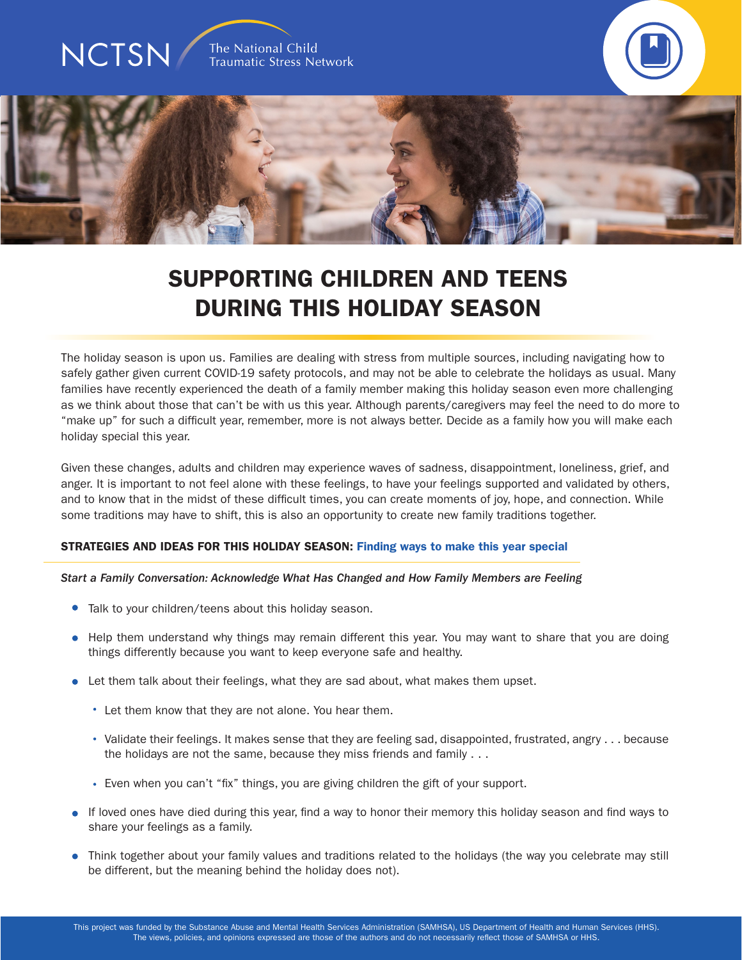

# SUPPORTING CHILDREN AND TEENS DURING THIS HOLIDAY SEASON

The holiday season is upon us. Families are dealing with stress from multiple sources, including navigating how to safely gather given current COVID-19 safety protocols, and may not be able to celebrate the holidays as usual. Many families have recently experienced the death of a family member making this holiday season even more challenging as we think about those that can't be with us this year. Although parents/caregivers may feel the need to do more to "make up" for such a difficult year, remember, more is not always better. Decide as a family how you will make each holiday special this year.

Given these changes, adults and children may experience waves of sadness, disappointment, loneliness, grief, and anger. It is important to not feel alone with these feelings, to have your feelings supported and validated by others, and to know that in the midst of these difficult times, you can create moments of joy, hope, and connection. While some traditions may have to shift, this is also an opportunity to create new family traditions together.

# STRATEGIES AND IDEAS FOR THIS HOLIDAY SEASON: Finding ways to make this year special

#### *Start a Family Conversation: Acknowledge What Has Changed and How Family Members are Feeling*

- Talk to your children/teens about this holiday season.
- Help them understand why things may remain different this year. You may want to share that you are doing things differently because you want to keep everyone safe and healthy.
- Let them talk about their feelings, what they are sad about, what makes them upset.
	- Let them know that they are not alone. You hear them.
	- Validate their feelings. It makes sense that they are feeling sad, disappointed, frustrated, angry . . . because the holidays are not the same, because they miss friends and family . . .
	- Even when you can't "fix" things, you are giving children the gift of your support.
- If loved ones have died during this year, find a way to honor their memory this holiday season and find ways to share your feelings as a family.
- Think together about your family values and traditions related to the holidays (the way you celebrate may still be different, but the meaning behind the holiday does not).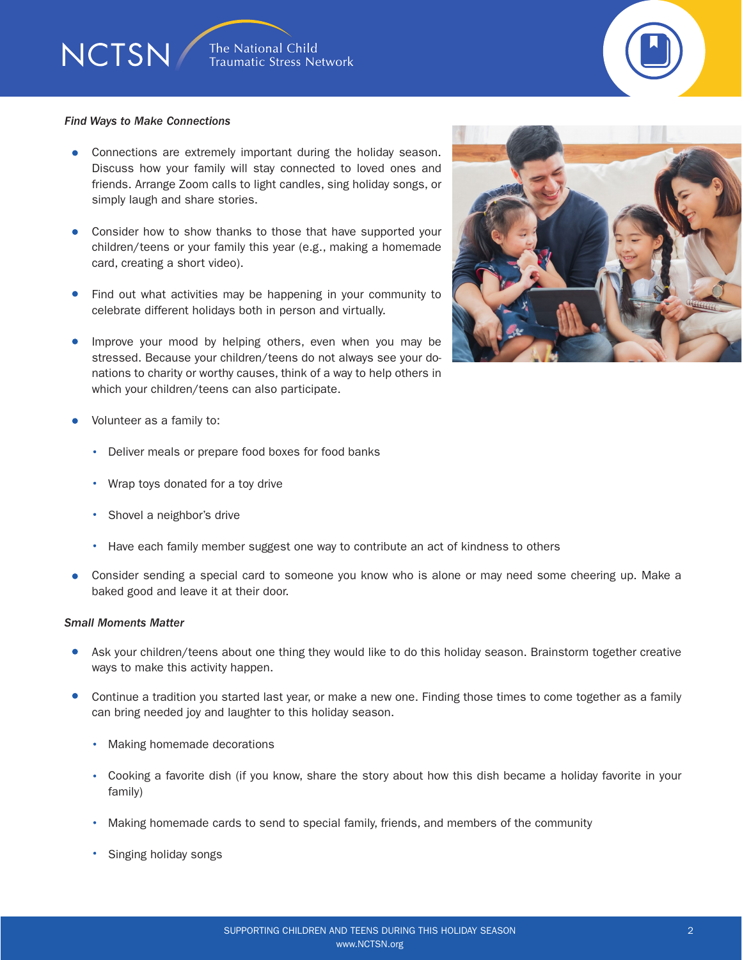

#### *Find Ways to Make Connections*

NCTSN/

- Connections are extremely important during the holiday season. Discuss how your family will stay connected to loved ones and friends. Arrange Zoom calls to light candles, sing holiday songs, or simply laugh and share stories.
- Consider how to show thanks to those that have supported your children/teens or your family this year (e.g., making a homemade card, creating a short video).
- Find out what activities may be happening in your community to celebrate different holidays both in person and virtually.
- **Improve your mood by helping others, even when you may be** stressed. Because your children/teens do not always see your donations to charity or worthy causes, think of a way to help others in which your children/teens can also participate.



- Volunteer as a family to:
	- Deliver meals or prepare food boxes for food banks
	- Wrap toys donated for a toy drive
	- Shovel a neighbor's drive
	- Have each family member suggest one way to contribute an act of kindness to others
- Consider sending a special card to someone you know who is alone or may need some cheering up. Make a baked good and leave it at their door.

# *Small Moments Matter*

- Ask your children/teens about one thing they would like to do this holiday season. Brainstorm together creative ways to make this activity happen.
- Continue a tradition you started last year, or make a new one. Finding those times to come together as a family can bring needed joy and laughter to this holiday season.
	- Making homemade decorations
	- Cooking a favorite dish (if you know, share the story about how this dish became a holiday favorite in your family)
	- Making homemade cards to send to special family, friends, and members of the community
	- Singing holiday songs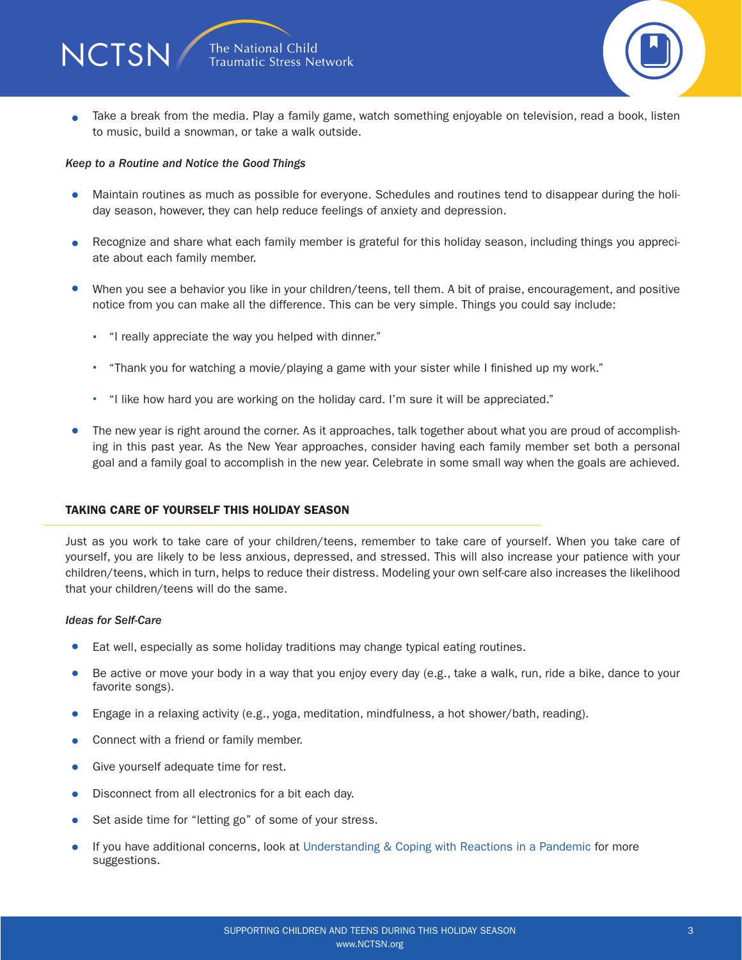

Take a break from the media. Play a family game, watch something enjoyable on television, read a book, listen  $\bullet$ to music, build a snowman, or take a walk outside.

### *Keep to a Routine and Notice the Good Things*

- Maintain routines as much as possible for everyone. Schedules and routines tend to disappear during the holiday season, however, they can help reduce feelings of anxiety and depression.
- Recognize and share what each family member is grateful for this holiday season, including things you appreciate about each family member.
- $\bullet$ When you see a behavior you like in your children/teens, tell them. A bit of praise, encouragement, and positive notice from you can make all the difference. This can be very simple. Things you could say include:
	- "I really appreciate the way you helped with dinner."
	- "Thank you for watching a movie/playing a game with your sister while I finished up my work."
	- "I like how hard you are working on the holiday card. I'm sure it will be appreciated."
- The new year is right around the corner. As it approaches, talk together about what you are proud of accomplishing in this past year. As the New Year approaches, consider having each family member set both a personal goal and a family goal to accomplish in the new year. Celebrate in some small way when the goals are achieved.

# TAKING CARE OF YOURSELF THIS HOLIDAY SEASON

Just as you work to take care of your children/teens, remember to take care of yourself. When you take care of yourself, you are likely to be less anxious, depressed, and stressed. This will also increase your patience with your children/teens, which in turn, helps to reduce their distress. Modeling your own self-care also increases the likelihood that your children/teens will do the same.

#### *Ideas for Self-Care*

- Eat well, especially as some holiday traditions may change typical eating routines.  $\bullet$
- Be active or move your body in a way that you enjoy every day (e.g., take a walk, run, ride a bike, dance to your  $\bullet$ favorite songs).
- $\bullet$ Engage in a relaxing activity (e.g., yoga, meditation, mindfulness, a hot shower/bath, reading).
- Connect with a friend or family member.
- **Give yourself adequate time for rest.**
- $\bullet$ Disconnect from all electronics for a bit each day.
- Set aside time for "letting go" of some of your stress.  $\bullet$
- If you have additional concerns, look at Understanding & Coping with Reactions in a Pandemic for more  $\bullet$ [suggestions.](https://www.nctsn.org/resources/understanding-and-coping-with-reactions-in-a-pandemic)